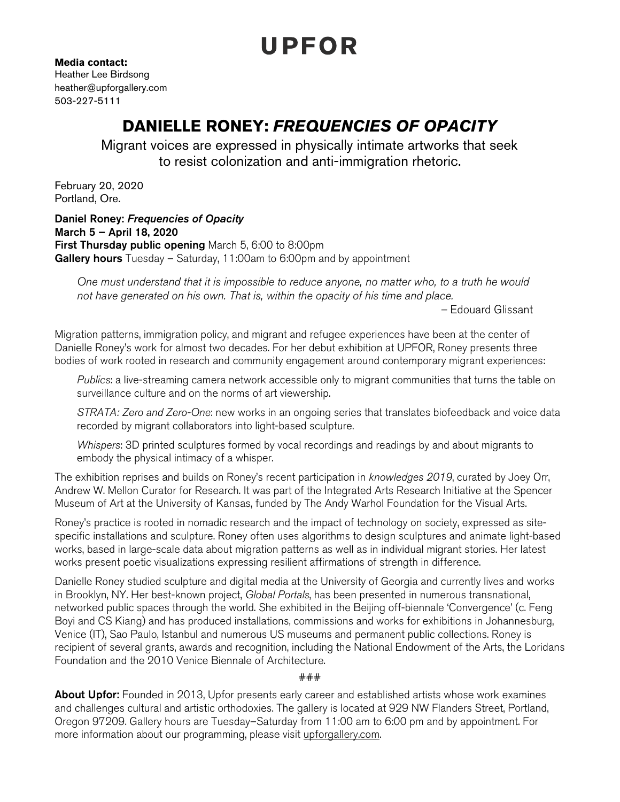## UPFOR

**Media contact:**  Heather Lee Birdsong heather@upforgallery.com 503-227-5111

## **DANIELLE RONEY:** *FREQUENCIES OF OPACITY*

Migrant voices are expressed in physically intimate artworks that seek to resist colonization and anti-immigration rhetoric.

February 20, 2020 Portland, Ore.

Daniel Roney: *Frequencies of Opacity* March 5 – April 18, 2020 First Thursday public opening March 5, 6:00 to 8:00pm **Gallery hours** Tuesday – Saturday, 11:00am to 6:00pm and by appointment

*One must understand that it is impossible to reduce anyone, no matter who, to a truth he would not have generated on his own. That is, within the opacity of his time and place.* 

*–* Edouard Glissant

Migration patterns, immigration policy, and migrant and refugee experiences have been at the center of Danielle Roney's work for almost two decades. For her debut exhibition at UPFOR, Roney presents three bodies of work rooted in research and community engagement around contemporary migrant experiences:

*Publics*: a live-streaming camera network accessible only to migrant communities that turns the table on surveillance culture and on the norms of art viewership.

*STRATA: Zero and Zero-One*: new works in an ongoing series that translates biofeedback and voice data recorded by migrant collaborators into light-based sculpture.

*Whispers*: 3D printed sculptures formed by vocal recordings and readings by and about migrants to embody the physical intimacy of a whisper.

The exhibition reprises and builds on Roney's recent participation in *knowledges 2019*, curated by Joey Orr, Andrew W. Mellon Curator for Research. It was part of the Integrated Arts Research Initiative at the Spencer Museum of Art at the University of Kansas, funded by The Andy Warhol Foundation for the Visual Arts.

Roney's practice is rooted in nomadic research and the impact of technology on society, expressed as sitespecific installations and sculpture. Roney often uses algorithms to design sculptures and animate light-based works, based in large-scale data about migration patterns as well as in individual migrant stories. Her latest works present poetic visualizations expressing resilient affirmations of strength in difference.

Danielle Roney studied sculpture and digital media at the University of Georgia and currently lives and works in Brooklyn, NY. Her best-known project, *Global Portals*, has been presented in numerous transnational, networked public spaces through the world. She exhibited in the Beijing off-biennale 'Convergence' (c. Feng Boyi and CS Kiang) and has produced installations, commissions and works for exhibitions in Johannesburg, Venice (IT), Sao Paulo, Istanbul and numerous US museums and permanent public collections. Roney is recipient of several grants, awards and recognition, including the National Endowment of the Arts, the Loridans Foundation and the 2010 Venice Biennale of Architecture.

###

About Upfor: Founded in 2013, Upfor presents early career and established artists whose work examines and challenges cultural and artistic orthodoxies. The gallery is located at 929 NW Flanders Street, Portland, Oregon 97209. Gallery hours are Tuesday–Saturday from 11:00 am to 6:00 pm and by appointment. For more information about our programming, please visit [upforgallery.com](http://upforgallery.com).